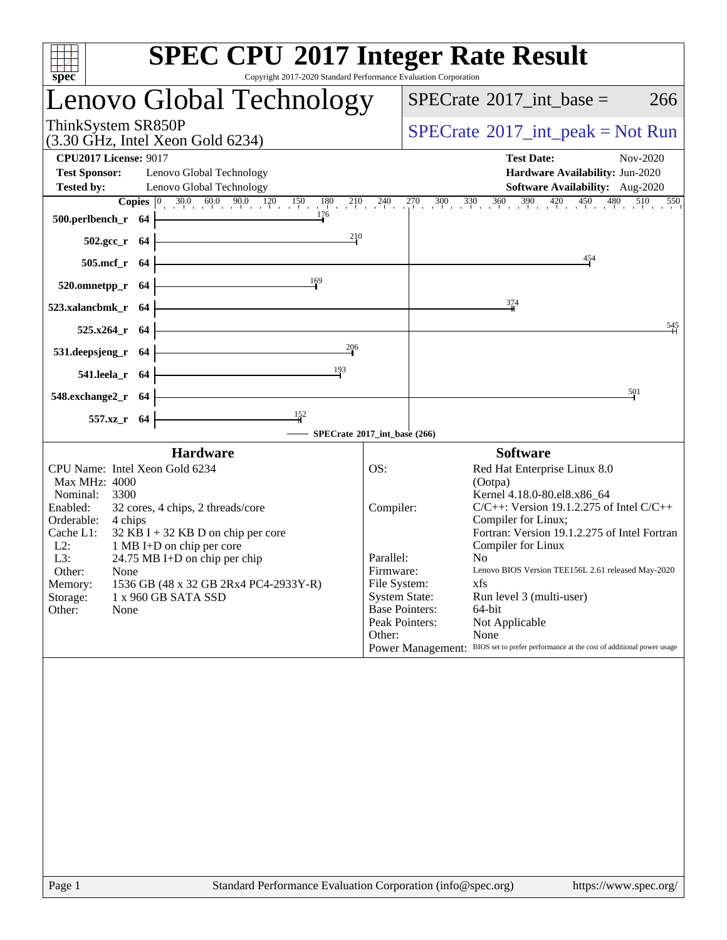| <b>SPEC CPU®2017 Integer Rate Result</b><br>$s\overline{pec}$<br>Copyright 2017-2020 Standard Performance Evaluation Corporation                                                                                                                                                                                                                                                                          |                                                                                                                                                                                                                                                                                                                                                                                                                                                                                                                                                                                               |  |  |  |  |  |  |  |
|-----------------------------------------------------------------------------------------------------------------------------------------------------------------------------------------------------------------------------------------------------------------------------------------------------------------------------------------------------------------------------------------------------------|-----------------------------------------------------------------------------------------------------------------------------------------------------------------------------------------------------------------------------------------------------------------------------------------------------------------------------------------------------------------------------------------------------------------------------------------------------------------------------------------------------------------------------------------------------------------------------------------------|--|--|--|--|--|--|--|
| Lenovo Global Technology                                                                                                                                                                                                                                                                                                                                                                                  | $SPECTate$ <sup>®</sup> 2017_int_base =<br>266                                                                                                                                                                                                                                                                                                                                                                                                                                                                                                                                                |  |  |  |  |  |  |  |
| ThinkSystem SR850P<br>(3.30 GHz, Intel Xeon Gold 6234)                                                                                                                                                                                                                                                                                                                                                    | $SPECrate^{\circledcirc}2017\_int\_peak = Not Run$                                                                                                                                                                                                                                                                                                                                                                                                                                                                                                                                            |  |  |  |  |  |  |  |
| <b>CPU2017 License: 9017</b><br><b>Test Sponsor:</b><br>Lenovo Global Technology<br><b>Tested by:</b><br>Lenovo Global Technology<br>500.perlbench_r 64 $\frac{176}{10}$                                                                                                                                                                                                                                  | <b>Test Date:</b><br>Nov-2020<br>Hardware Availability: Jun-2020<br>Software Availability: Aug-2020<br><b>Copies</b> $\begin{bmatrix} 0 & 30.0 & 60.0 & 90.0 & 120 & 150 & 180 & 210 & 240 & 270 & 300 & 330 & 360 & 390 & 420 & 450 & 480 & 510 & 550 \end{bmatrix}$                                                                                                                                                                                                                                                                                                                         |  |  |  |  |  |  |  |
| $502.\text{sec}\text{-r}$ 64<br>$\frac{210}{2}$<br>$505.\text{mcf}_r$ 64<br>520.omnetpp_r 64 $\frac{169}{1}$                                                                                                                                                                                                                                                                                              | 454                                                                                                                                                                                                                                                                                                                                                                                                                                                                                                                                                                                           |  |  |  |  |  |  |  |
| $523.xalancbmk_r$ 64<br><u> 1989 - Johann Barn, mars eta bainar eta idazlea (</u>                                                                                                                                                                                                                                                                                                                         | 374<br>545                                                                                                                                                                                                                                                                                                                                                                                                                                                                                                                                                                                    |  |  |  |  |  |  |  |
| $525.x264$ _r 64<br>$531. \text{deepsjeng}_r$ $64$<br>206<br>541.leela_r 64 $\frac{193}{1}$                                                                                                                                                                                                                                                                                                               |                                                                                                                                                                                                                                                                                                                                                                                                                                                                                                                                                                                               |  |  |  |  |  |  |  |
| $548.$ exchange $2\text{r}$ 64<br>$\frac{152}{1}$                                                                                                                                                                                                                                                                                                                                                         | 501                                                                                                                                                                                                                                                                                                                                                                                                                                                                                                                                                                                           |  |  |  |  |  |  |  |
| $557.xz$ <sub>r</sub> 64                                                                                                                                                                                                                                                                                                                                                                                  | SPECrate®2017_int_base (266)                                                                                                                                                                                                                                                                                                                                                                                                                                                                                                                                                                  |  |  |  |  |  |  |  |
| <b>Hardware</b><br><b>Software</b>                                                                                                                                                                                                                                                                                                                                                                        |                                                                                                                                                                                                                                                                                                                                                                                                                                                                                                                                                                                               |  |  |  |  |  |  |  |
| CPU Name: Intel Xeon Gold 6234<br>Max MHz: 4000<br>Nominal:<br>3300<br>Enabled:<br>32 cores, 4 chips, 2 threads/core<br>Orderable: 4 chips<br>Cache L1:<br>$32$ KB I + 32 KB D on chip per core<br>$L2$ :<br>1 MB I+D on chip per core<br>L3:<br>24.75 MB I+D on chip per chip<br>Other:<br>None<br>1536 GB (48 x 32 GB 2Rx4 PC4-2933Y-R)<br>Memory:<br>Storage:<br>1 x 960 GB SATA SSD<br>Other:<br>None | OS:<br>Red Hat Enterprise Linux 8.0<br>(Ootpa)<br>Kernel 4.18.0-80.el8.x86_64<br>$C/C++$ : Version 19.1.2.275 of Intel $C/C++$<br>Compiler:<br>Compiler for Linux;<br>Fortran: Version 19.1.2.275 of Intel Fortran<br>Compiler for Linux<br>Parallel:<br>No.<br>Lenovo BIOS Version TEE156L 2.61 released May-2020<br>Firmware:<br>File System:<br>xfs<br><b>System State:</b><br>Run level 3 (multi-user)<br><b>Base Pointers:</b><br>64-bit<br>Peak Pointers:<br>Not Applicable<br>Other:<br>None<br>Power Management: BIOS set to prefer performance at the cost of additional power usage |  |  |  |  |  |  |  |
|                                                                                                                                                                                                                                                                                                                                                                                                           |                                                                                                                                                                                                                                                                                                                                                                                                                                                                                                                                                                                               |  |  |  |  |  |  |  |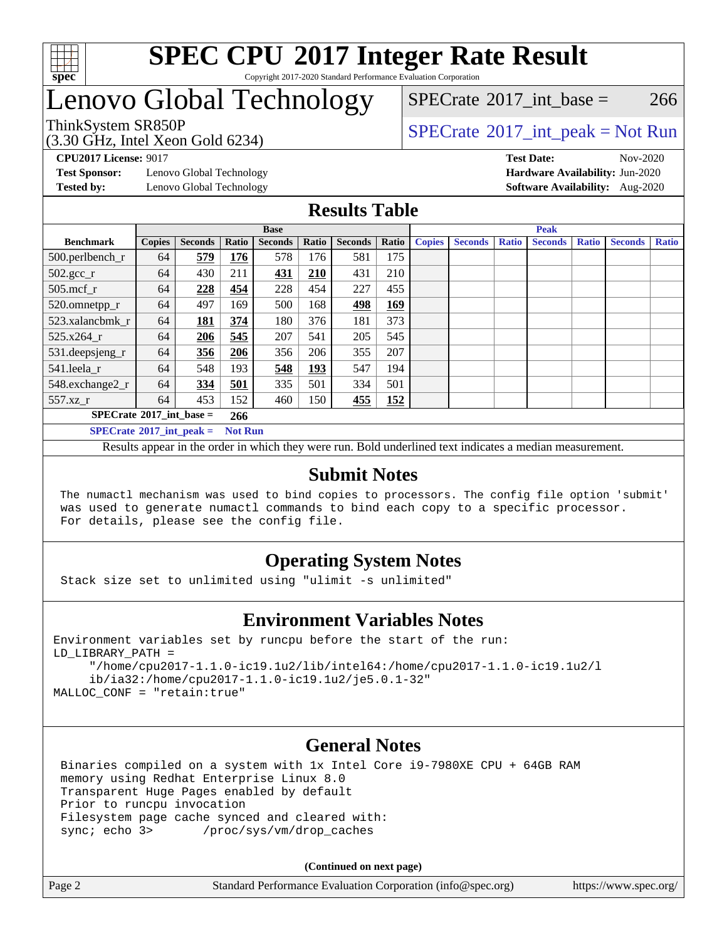

#### **[SPEC CPU](http://www.spec.org/auto/cpu2017/Docs/result-fields.html#SPECCPU2017IntegerRateResult)[2017 Integer Rate Result](http://www.spec.org/auto/cpu2017/Docs/result-fields.html#SPECCPU2017IntegerRateResult)** Copyright 2017-2020 Standard Performance Evaluation Corporation

# Lenovo Global Technology

(3.30 GHz, Intel Xeon Gold 6234)

ThinkSystem SR850P<br>  $SPECTI<sub>2</sub>120 CI<sub>2</sub>1212$  Jutel Year Gald 6224)  $SPECTate^{\circ}2017$  int base = 266

**[Test Sponsor:](http://www.spec.org/auto/cpu2017/Docs/result-fields.html#TestSponsor)** Lenovo Global Technology **[Hardware Availability:](http://www.spec.org/auto/cpu2017/Docs/result-fields.html#HardwareAvailability)** Jun-2020

**[CPU2017 License:](http://www.spec.org/auto/cpu2017/Docs/result-fields.html#CPU2017License)** 9017 **[Test Date:](http://www.spec.org/auto/cpu2017/Docs/result-fields.html#TestDate)** Nov-2020 **[Tested by:](http://www.spec.org/auto/cpu2017/Docs/result-fields.html#Testedby)** Lenovo Global Technology **[Software Availability:](http://www.spec.org/auto/cpu2017/Docs/result-fields.html#SoftwareAvailability)** Aug-2020

### **[Results Table](http://www.spec.org/auto/cpu2017/Docs/result-fields.html#ResultsTable)**

|                                   | <b>Base</b>   |                |                |                |            | <b>Peak</b>    |            |               |                |              |                |              |                |              |
|-----------------------------------|---------------|----------------|----------------|----------------|------------|----------------|------------|---------------|----------------|--------------|----------------|--------------|----------------|--------------|
| <b>Benchmark</b>                  | <b>Copies</b> | <b>Seconds</b> | Ratio          | <b>Seconds</b> | Ratio      | <b>Seconds</b> | Ratio      | <b>Copies</b> | <b>Seconds</b> | <b>Ratio</b> | <b>Seconds</b> | <b>Ratio</b> | <b>Seconds</b> | <b>Ratio</b> |
| 500.perlbench_r                   | 64            | 579            | 176            | 578            | 176        | 581            | 175        |               |                |              |                |              |                |              |
| $502.\text{gcc\_r}$               | 64            | 430            | 211            | 431            | 210        | 431            | 210        |               |                |              |                |              |                |              |
| $505$ .mcf $r$                    | 64            | 228            | 454            | 228            | 454        | 227            | 455        |               |                |              |                |              |                |              |
| 520.omnetpp_r                     | 64            | 497            | 169            | 500            | 168        | 498            | <u>169</u> |               |                |              |                |              |                |              |
| 523.xalancbmk r                   | 64            | 181            | 374            | 180            | 376        | 181            | 373        |               |                |              |                |              |                |              |
| 525.x264 r                        | 64            | 206            | 545            | 207            | 541        | 205            | 545        |               |                |              |                |              |                |              |
| 531.deepsjeng_r                   | 64            | 356            | 206            | 356            | 206        | 355            | 207        |               |                |              |                |              |                |              |
| 541.leela r                       | 64            | 548            | 193            | 548            | <u>193</u> | 547            | 194        |               |                |              |                |              |                |              |
| 548.exchange2_r                   | 64            | 334            | 501            | 335            | 501        | 334            | 501        |               |                |              |                |              |                |              |
| 557.xz r                          | 64            | 453            | 152            | 460            | 150        | <u>455</u>     | <u>152</u> |               |                |              |                |              |                |              |
| $SPECrate^{\circ}2017$ int base = |               |                | 266            |                |            |                |            |               |                |              |                |              |                |              |
| $SPECrate^{\circ}2017$ int peak = |               |                | <b>Not Run</b> |                |            |                |            |               |                |              |                |              |                |              |

Results appear in the [order in which they were run](http://www.spec.org/auto/cpu2017/Docs/result-fields.html#RunOrder). Bold underlined text [indicates a median measurement](http://www.spec.org/auto/cpu2017/Docs/result-fields.html#Median).

### **[Submit Notes](http://www.spec.org/auto/cpu2017/Docs/result-fields.html#SubmitNotes)**

 The numactl mechanism was used to bind copies to processors. The config file option 'submit' was used to generate numactl commands to bind each copy to a specific processor. For details, please see the config file.

### **[Operating System Notes](http://www.spec.org/auto/cpu2017/Docs/result-fields.html#OperatingSystemNotes)**

Stack size set to unlimited using "ulimit -s unlimited"

### **[Environment Variables Notes](http://www.spec.org/auto/cpu2017/Docs/result-fields.html#EnvironmentVariablesNotes)**

```
Environment variables set by runcpu before the start of the run:
LD_LIBRARY_PATH =
      "/home/cpu2017-1.1.0-ic19.1u2/lib/intel64:/home/cpu2017-1.1.0-ic19.1u2/l
      ib/ia32:/home/cpu2017-1.1.0-ic19.1u2/je5.0.1-32"
MALLOC_CONF = "retain:true"
```
### **[General Notes](http://www.spec.org/auto/cpu2017/Docs/result-fields.html#GeneralNotes)**

 Binaries compiled on a system with 1x Intel Core i9-7980XE CPU + 64GB RAM memory using Redhat Enterprise Linux 8.0 Transparent Huge Pages enabled by default Prior to runcpu invocation Filesystem page cache synced and cleared with: sync; echo 3> /proc/sys/vm/drop\_caches

**(Continued on next page)**

| Page 2<br>Standard Performance Evaluation Corporation (info@spec.org)<br>https://www.spec.org/ |
|------------------------------------------------------------------------------------------------|
|------------------------------------------------------------------------------------------------|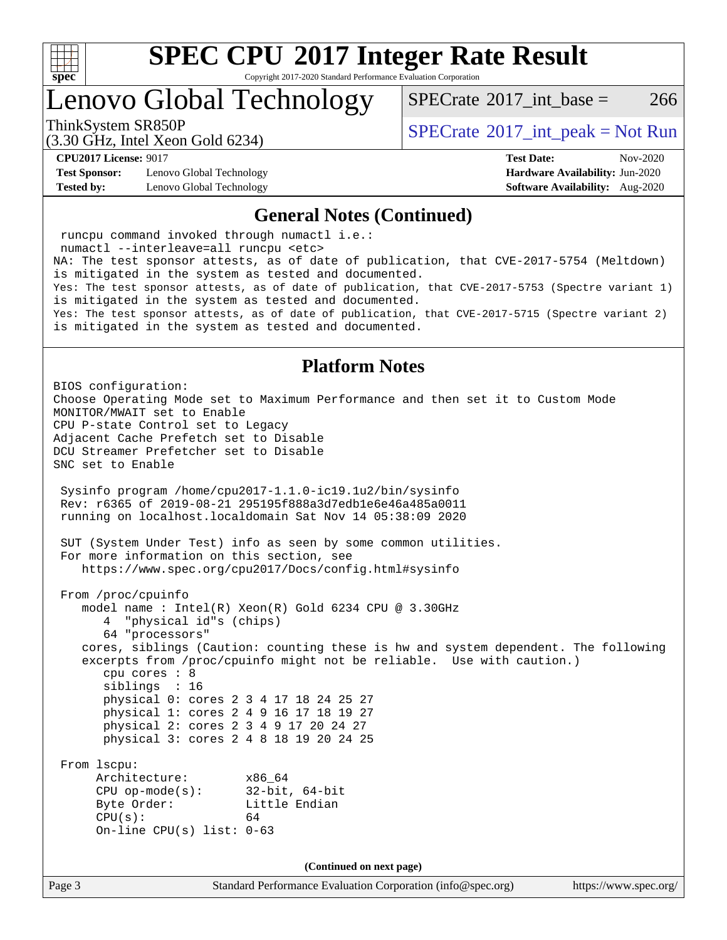

Copyright 2017-2020 Standard Performance Evaluation Corporation

Lenovo Global Technology

[SPECrate](http://www.spec.org/auto/cpu2017/Docs/result-fields.html#SPECrate2017intbase)<sup>®</sup>2017 int base = 266

(3.30 GHz, Intel Xeon Gold 6234)

ThinkSystem SR850P<br>  $\begin{array}{c}\n\text{SPECTI} \\
\text{SPECTI} \\
\text{SPECTI} \\
\text{SPECTI} \\
\text{SPECTI} \\
\text{SPECTI} \\
\text{SPECTI} \\
\text{SPECTI} \\
\text{SPECTI} \\
\text{SPECTI} \\
\text{SPECTI} \\
\text{SPECTI} \\
\text{SPECTI} \\
\text{SPECTI} \\
\text{SPECTI} \\
\text{S OF T} \\
\text{S OF T} \\
\text{S OF T} \\
\text{S OF T} \\
\text{S OF T} \\
\text{S OF T} \\
\text{S OF T} \\
\text{S OF T} \\
\text{S OF T} \\$ 

**[Test Sponsor:](http://www.spec.org/auto/cpu2017/Docs/result-fields.html#TestSponsor)** Lenovo Global Technology **[Hardware Availability:](http://www.spec.org/auto/cpu2017/Docs/result-fields.html#HardwareAvailability)** Jun-2020 **[Tested by:](http://www.spec.org/auto/cpu2017/Docs/result-fields.html#Testedby)** Lenovo Global Technology **[Software Availability:](http://www.spec.org/auto/cpu2017/Docs/result-fields.html#SoftwareAvailability)** Aug-2020

**[CPU2017 License:](http://www.spec.org/auto/cpu2017/Docs/result-fields.html#CPU2017License)** 9017 **[Test Date:](http://www.spec.org/auto/cpu2017/Docs/result-fields.html#TestDate)** Nov-2020

#### **[General Notes \(Continued\)](http://www.spec.org/auto/cpu2017/Docs/result-fields.html#GeneralNotes)**

 runcpu command invoked through numactl i.e.: numactl --interleave=all runcpu <etc> NA: The test sponsor attests, as of date of publication, that CVE-2017-5754 (Meltdown) is mitigated in the system as tested and documented. Yes: The test sponsor attests, as of date of publication, that CVE-2017-5753 (Spectre variant 1) is mitigated in the system as tested and documented. Yes: The test sponsor attests, as of date of publication, that CVE-2017-5715 (Spectre variant 2) is mitigated in the system as tested and documented.

### **[Platform Notes](http://www.spec.org/auto/cpu2017/Docs/result-fields.html#PlatformNotes)**

Page 3 Standard Performance Evaluation Corporation [\(info@spec.org\)](mailto:info@spec.org) <https://www.spec.org/> BIOS configuration: Choose Operating Mode set to Maximum Performance and then set it to Custom Mode MONITOR/MWAIT set to Enable CPU P-state Control set to Legacy Adjacent Cache Prefetch set to Disable DCU Streamer Prefetcher set to Disable SNC set to Enable Sysinfo program /home/cpu2017-1.1.0-ic19.1u2/bin/sysinfo Rev: r6365 of 2019-08-21 295195f888a3d7edb1e6e46a485a0011 running on localhost.localdomain Sat Nov 14 05:38:09 2020 SUT (System Under Test) info as seen by some common utilities. For more information on this section, see <https://www.spec.org/cpu2017/Docs/config.html#sysinfo> From /proc/cpuinfo model name : Intel(R) Xeon(R) Gold 6234 CPU @ 3.30GHz 4 "physical id"s (chips) 64 "processors" cores, siblings (Caution: counting these is hw and system dependent. The following excerpts from /proc/cpuinfo might not be reliable. Use with caution.) cpu cores : 8 siblings : 16 physical 0: cores 2 3 4 17 18 24 25 27 physical 1: cores 2 4 9 16 17 18 19 27 physical 2: cores 2 3 4 9 17 20 24 27 physical 3: cores 2 4 8 18 19 20 24 25 From lscpu: Architecture: x86\_64 CPU op-mode(s): 32-bit, 64-bit Byte Order: Little Endian  $CPU(s):$  64 On-line CPU(s) list: 0-63 **(Continued on next page)**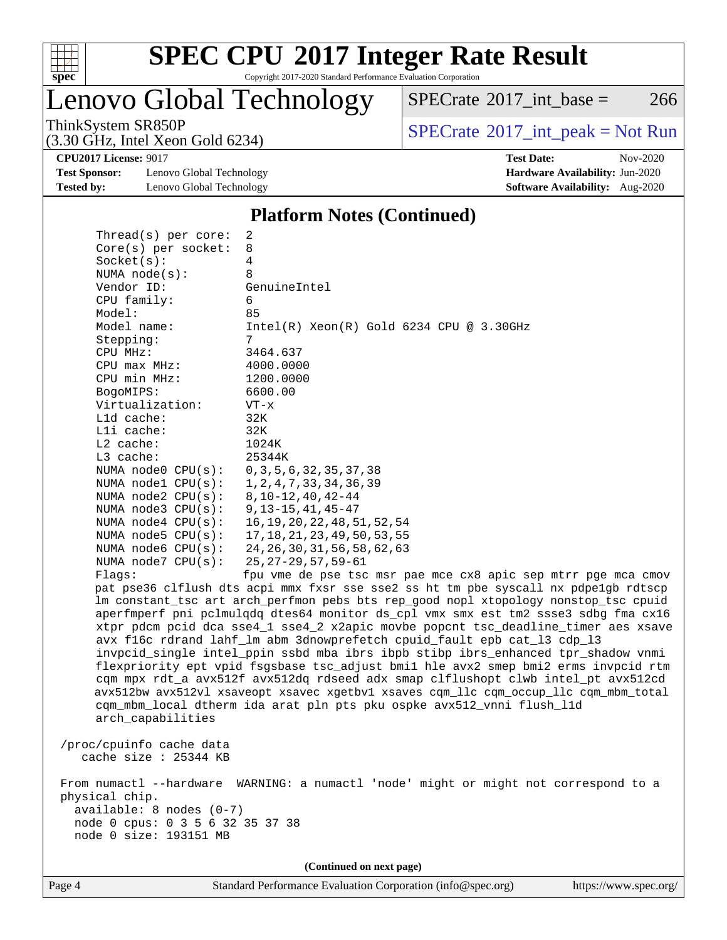

Copyright 2017-2020 Standard Performance Evaluation Corporation

# Lenovo Global Technology

 $SPECTate$ <sup>®</sup>[2017\\_int\\_base =](http://www.spec.org/auto/cpu2017/Docs/result-fields.html#SPECrate2017intbase) 266

(3.30 GHz, Intel Xeon Gold 6234)

ThinkSystem SR850P<br>  $(3.30 \text{ GHz})$  Intel Xeon Gold 6234)<br>  $\boxed{\text{SPECrate}^{\circ}2017\_int\_peak = Not Run}$  $\boxed{\text{SPECrate}^{\circ}2017\_int\_peak = Not Run}$  $\boxed{\text{SPECrate}^{\circ}2017\_int\_peak = Not Run}$ 

**[CPU2017 License:](http://www.spec.org/auto/cpu2017/Docs/result-fields.html#CPU2017License)** 9017 **[Test Date:](http://www.spec.org/auto/cpu2017/Docs/result-fields.html#TestDate)** Nov-2020

**[Test Sponsor:](http://www.spec.org/auto/cpu2017/Docs/result-fields.html#TestSponsor)** Lenovo Global Technology **[Hardware Availability:](http://www.spec.org/auto/cpu2017/Docs/result-fields.html#HardwareAvailability)** Jun-2020 **[Tested by:](http://www.spec.org/auto/cpu2017/Docs/result-fields.html#Testedby)** Lenovo Global Technology **[Software Availability:](http://www.spec.org/auto/cpu2017/Docs/result-fields.html#SoftwareAvailability)** Aug-2020

### **[Platform Notes \(Continued\)](http://www.spec.org/auto/cpu2017/Docs/result-fields.html#PlatformNotes)**

| Socket(s):<br>4<br>NUMA $node(s)$ :<br>8<br>Vendor ID:<br>GenuineIntel<br>CPU family:<br>6<br>85<br>Model:<br>$Intel(R)$ Xeon $(R)$ Gold 6234 CPU @ 3.30GHz<br>Model name:<br>Stepping:<br>7<br>CPU MHz:<br>3464.637<br>4000.0000<br>CPU max MHz:<br>CPU min MHz:<br>1200.0000<br>BogoMIPS:<br>6600.00<br>Virtualization:<br>$VT - x$<br>L1d cache:<br>32K<br>Lli cache:<br>32K<br>L2 cache:<br>1024K<br>L3 cache:<br>25344K<br>NUMA node0 CPU(s):<br>0, 3, 5, 6, 32, 35, 37, 38<br>NUMA nodel CPU(s):<br>1, 2, 4, 7, 33, 34, 36, 39<br>NUMA $node2$ $CPU(s):$<br>$8, 10 - 12, 40, 42 - 44$<br>NUMA $node3$ $CPU(s):$<br>$9, 13 - 15, 41, 45 - 47$<br>NUMA $node4$ $CPU(s):$<br>16, 19, 20, 22, 48, 51, 52, 54<br>17, 18, 21, 23, 49, 50, 53, 55<br>NUMA $node5$ $CPU(s):$<br>24, 26, 30, 31, 56, 58, 62, 63<br>NUMA node6 CPU(s):<br>NUMA $node7$ CPU $(s)$ :<br>$25, 27 - 29, 57, 59 - 61$<br>Flagg:<br>fpu vme de pse tsc msr pae mce cx8 apic sep mtrr pge mca cmov<br>pat pse36 clflush dts acpi mmx fxsr sse sse2 ss ht tm pbe syscall nx pdpelgb rdtscp<br>lm constant_tsc art arch_perfmon pebs bts rep_good nopl xtopology nonstop_tsc cpuid<br>aperfmperf pni pclmulqdq dtes64 monitor ds_cpl vmx smx est tm2 ssse3 sdbg fma cx16<br>xtpr pdcm pcid dca sse4_1 sse4_2 x2apic movbe popcnt tsc_deadline_timer aes xsave<br>avx f16c rdrand lahf_lm abm 3dnowprefetch cpuid_fault epb cat_13 cdp_13<br>invpcid_single intel_ppin ssbd mba ibrs ibpb stibp ibrs_enhanced tpr_shadow vnmi<br>flexpriority ept vpid fsgsbase tsc_adjust bmil hle avx2 smep bmi2 erms invpcid rtm<br>cqm mpx rdt_a avx512f avx512dq rdseed adx smap clflushopt clwb intel_pt avx512cd<br>avx512bw avx512vl xsaveopt xsavec xgetbvl xsaves cqm_llc cqm_occup_llc cqm_mbm_total<br>cqm_mbm_local dtherm ida arat pln pts pku ospke avx512_vnni flush_l1d<br>arch_capabilities<br>/proc/cpuinfo cache data<br>cache size : 25344 KB<br>From numactl --hardware WARNING: a numactl 'node' might or might not correspond to a<br>physical chip.<br>available: 8 nodes (0-7)<br>node 0 cpus: 0 3 5 6 32 35 37 38<br>node 0 size: 193151 MB<br>(Continued on next page) | Thread( $s$ ) per core: | 2 |  |  |  |  |  |
|------------------------------------------------------------------------------------------------------------------------------------------------------------------------------------------------------------------------------------------------------------------------------------------------------------------------------------------------------------------------------------------------------------------------------------------------------------------------------------------------------------------------------------------------------------------------------------------------------------------------------------------------------------------------------------------------------------------------------------------------------------------------------------------------------------------------------------------------------------------------------------------------------------------------------------------------------------------------------------------------------------------------------------------------------------------------------------------------------------------------------------------------------------------------------------------------------------------------------------------------------------------------------------------------------------------------------------------------------------------------------------------------------------------------------------------------------------------------------------------------------------------------------------------------------------------------------------------------------------------------------------------------------------------------------------------------------------------------------------------------------------------------------------------------------------------------------------------------------------------------------------------------------------------------------------------------------------------------------------------------------------------------------------------------------------------------------------------------------------------------------------------------------|-------------------------|---|--|--|--|--|--|
|                                                                                                                                                                                                                                                                                                                                                                                                                                                                                                                                                                                                                                                                                                                                                                                                                                                                                                                                                                                                                                                                                                                                                                                                                                                                                                                                                                                                                                                                                                                                                                                                                                                                                                                                                                                                                                                                                                                                                                                                                                                                                                                                                      | Core(s) per socket:     | 8 |  |  |  |  |  |
|                                                                                                                                                                                                                                                                                                                                                                                                                                                                                                                                                                                                                                                                                                                                                                                                                                                                                                                                                                                                                                                                                                                                                                                                                                                                                                                                                                                                                                                                                                                                                                                                                                                                                                                                                                                                                                                                                                                                                                                                                                                                                                                                                      |                         |   |  |  |  |  |  |
|                                                                                                                                                                                                                                                                                                                                                                                                                                                                                                                                                                                                                                                                                                                                                                                                                                                                                                                                                                                                                                                                                                                                                                                                                                                                                                                                                                                                                                                                                                                                                                                                                                                                                                                                                                                                                                                                                                                                                                                                                                                                                                                                                      |                         |   |  |  |  |  |  |
|                                                                                                                                                                                                                                                                                                                                                                                                                                                                                                                                                                                                                                                                                                                                                                                                                                                                                                                                                                                                                                                                                                                                                                                                                                                                                                                                                                                                                                                                                                                                                                                                                                                                                                                                                                                                                                                                                                                                                                                                                                                                                                                                                      |                         |   |  |  |  |  |  |
|                                                                                                                                                                                                                                                                                                                                                                                                                                                                                                                                                                                                                                                                                                                                                                                                                                                                                                                                                                                                                                                                                                                                                                                                                                                                                                                                                                                                                                                                                                                                                                                                                                                                                                                                                                                                                                                                                                                                                                                                                                                                                                                                                      |                         |   |  |  |  |  |  |
|                                                                                                                                                                                                                                                                                                                                                                                                                                                                                                                                                                                                                                                                                                                                                                                                                                                                                                                                                                                                                                                                                                                                                                                                                                                                                                                                                                                                                                                                                                                                                                                                                                                                                                                                                                                                                                                                                                                                                                                                                                                                                                                                                      |                         |   |  |  |  |  |  |
|                                                                                                                                                                                                                                                                                                                                                                                                                                                                                                                                                                                                                                                                                                                                                                                                                                                                                                                                                                                                                                                                                                                                                                                                                                                                                                                                                                                                                                                                                                                                                                                                                                                                                                                                                                                                                                                                                                                                                                                                                                                                                                                                                      |                         |   |  |  |  |  |  |
|                                                                                                                                                                                                                                                                                                                                                                                                                                                                                                                                                                                                                                                                                                                                                                                                                                                                                                                                                                                                                                                                                                                                                                                                                                                                                                                                                                                                                                                                                                                                                                                                                                                                                                                                                                                                                                                                                                                                                                                                                                                                                                                                                      |                         |   |  |  |  |  |  |
|                                                                                                                                                                                                                                                                                                                                                                                                                                                                                                                                                                                                                                                                                                                                                                                                                                                                                                                                                                                                                                                                                                                                                                                                                                                                                                                                                                                                                                                                                                                                                                                                                                                                                                                                                                                                                                                                                                                                                                                                                                                                                                                                                      |                         |   |  |  |  |  |  |
|                                                                                                                                                                                                                                                                                                                                                                                                                                                                                                                                                                                                                                                                                                                                                                                                                                                                                                                                                                                                                                                                                                                                                                                                                                                                                                                                                                                                                                                                                                                                                                                                                                                                                                                                                                                                                                                                                                                                                                                                                                                                                                                                                      |                         |   |  |  |  |  |  |
|                                                                                                                                                                                                                                                                                                                                                                                                                                                                                                                                                                                                                                                                                                                                                                                                                                                                                                                                                                                                                                                                                                                                                                                                                                                                                                                                                                                                                                                                                                                                                                                                                                                                                                                                                                                                                                                                                                                                                                                                                                                                                                                                                      |                         |   |  |  |  |  |  |
|                                                                                                                                                                                                                                                                                                                                                                                                                                                                                                                                                                                                                                                                                                                                                                                                                                                                                                                                                                                                                                                                                                                                                                                                                                                                                                                                                                                                                                                                                                                                                                                                                                                                                                                                                                                                                                                                                                                                                                                                                                                                                                                                                      |                         |   |  |  |  |  |  |
|                                                                                                                                                                                                                                                                                                                                                                                                                                                                                                                                                                                                                                                                                                                                                                                                                                                                                                                                                                                                                                                                                                                                                                                                                                                                                                                                                                                                                                                                                                                                                                                                                                                                                                                                                                                                                                                                                                                                                                                                                                                                                                                                                      |                         |   |  |  |  |  |  |
|                                                                                                                                                                                                                                                                                                                                                                                                                                                                                                                                                                                                                                                                                                                                                                                                                                                                                                                                                                                                                                                                                                                                                                                                                                                                                                                                                                                                                                                                                                                                                                                                                                                                                                                                                                                                                                                                                                                                                                                                                                                                                                                                                      |                         |   |  |  |  |  |  |
|                                                                                                                                                                                                                                                                                                                                                                                                                                                                                                                                                                                                                                                                                                                                                                                                                                                                                                                                                                                                                                                                                                                                                                                                                                                                                                                                                                                                                                                                                                                                                                                                                                                                                                                                                                                                                                                                                                                                                                                                                                                                                                                                                      |                         |   |  |  |  |  |  |
|                                                                                                                                                                                                                                                                                                                                                                                                                                                                                                                                                                                                                                                                                                                                                                                                                                                                                                                                                                                                                                                                                                                                                                                                                                                                                                                                                                                                                                                                                                                                                                                                                                                                                                                                                                                                                                                                                                                                                                                                                                                                                                                                                      |                         |   |  |  |  |  |  |
|                                                                                                                                                                                                                                                                                                                                                                                                                                                                                                                                                                                                                                                                                                                                                                                                                                                                                                                                                                                                                                                                                                                                                                                                                                                                                                                                                                                                                                                                                                                                                                                                                                                                                                                                                                                                                                                                                                                                                                                                                                                                                                                                                      |                         |   |  |  |  |  |  |
|                                                                                                                                                                                                                                                                                                                                                                                                                                                                                                                                                                                                                                                                                                                                                                                                                                                                                                                                                                                                                                                                                                                                                                                                                                                                                                                                                                                                                                                                                                                                                                                                                                                                                                                                                                                                                                                                                                                                                                                                                                                                                                                                                      |                         |   |  |  |  |  |  |
|                                                                                                                                                                                                                                                                                                                                                                                                                                                                                                                                                                                                                                                                                                                                                                                                                                                                                                                                                                                                                                                                                                                                                                                                                                                                                                                                                                                                                                                                                                                                                                                                                                                                                                                                                                                                                                                                                                                                                                                                                                                                                                                                                      |                         |   |  |  |  |  |  |
|                                                                                                                                                                                                                                                                                                                                                                                                                                                                                                                                                                                                                                                                                                                                                                                                                                                                                                                                                                                                                                                                                                                                                                                                                                                                                                                                                                                                                                                                                                                                                                                                                                                                                                                                                                                                                                                                                                                                                                                                                                                                                                                                                      |                         |   |  |  |  |  |  |
|                                                                                                                                                                                                                                                                                                                                                                                                                                                                                                                                                                                                                                                                                                                                                                                                                                                                                                                                                                                                                                                                                                                                                                                                                                                                                                                                                                                                                                                                                                                                                                                                                                                                                                                                                                                                                                                                                                                                                                                                                                                                                                                                                      |                         |   |  |  |  |  |  |
|                                                                                                                                                                                                                                                                                                                                                                                                                                                                                                                                                                                                                                                                                                                                                                                                                                                                                                                                                                                                                                                                                                                                                                                                                                                                                                                                                                                                                                                                                                                                                                                                                                                                                                                                                                                                                                                                                                                                                                                                                                                                                                                                                      |                         |   |  |  |  |  |  |
|                                                                                                                                                                                                                                                                                                                                                                                                                                                                                                                                                                                                                                                                                                                                                                                                                                                                                                                                                                                                                                                                                                                                                                                                                                                                                                                                                                                                                                                                                                                                                                                                                                                                                                                                                                                                                                                                                                                                                                                                                                                                                                                                                      |                         |   |  |  |  |  |  |
|                                                                                                                                                                                                                                                                                                                                                                                                                                                                                                                                                                                                                                                                                                                                                                                                                                                                                                                                                                                                                                                                                                                                                                                                                                                                                                                                                                                                                                                                                                                                                                                                                                                                                                                                                                                                                                                                                                                                                                                                                                                                                                                                                      |                         |   |  |  |  |  |  |
|                                                                                                                                                                                                                                                                                                                                                                                                                                                                                                                                                                                                                                                                                                                                                                                                                                                                                                                                                                                                                                                                                                                                                                                                                                                                                                                                                                                                                                                                                                                                                                                                                                                                                                                                                                                                                                                                                                                                                                                                                                                                                                                                                      |                         |   |  |  |  |  |  |
|                                                                                                                                                                                                                                                                                                                                                                                                                                                                                                                                                                                                                                                                                                                                                                                                                                                                                                                                                                                                                                                                                                                                                                                                                                                                                                                                                                                                                                                                                                                                                                                                                                                                                                                                                                                                                                                                                                                                                                                                                                                                                                                                                      |                         |   |  |  |  |  |  |
|                                                                                                                                                                                                                                                                                                                                                                                                                                                                                                                                                                                                                                                                                                                                                                                                                                                                                                                                                                                                                                                                                                                                                                                                                                                                                                                                                                                                                                                                                                                                                                                                                                                                                                                                                                                                                                                                                                                                                                                                                                                                                                                                                      |                         |   |  |  |  |  |  |
|                                                                                                                                                                                                                                                                                                                                                                                                                                                                                                                                                                                                                                                                                                                                                                                                                                                                                                                                                                                                                                                                                                                                                                                                                                                                                                                                                                                                                                                                                                                                                                                                                                                                                                                                                                                                                                                                                                                                                                                                                                                                                                                                                      |                         |   |  |  |  |  |  |
|                                                                                                                                                                                                                                                                                                                                                                                                                                                                                                                                                                                                                                                                                                                                                                                                                                                                                                                                                                                                                                                                                                                                                                                                                                                                                                                                                                                                                                                                                                                                                                                                                                                                                                                                                                                                                                                                                                                                                                                                                                                                                                                                                      |                         |   |  |  |  |  |  |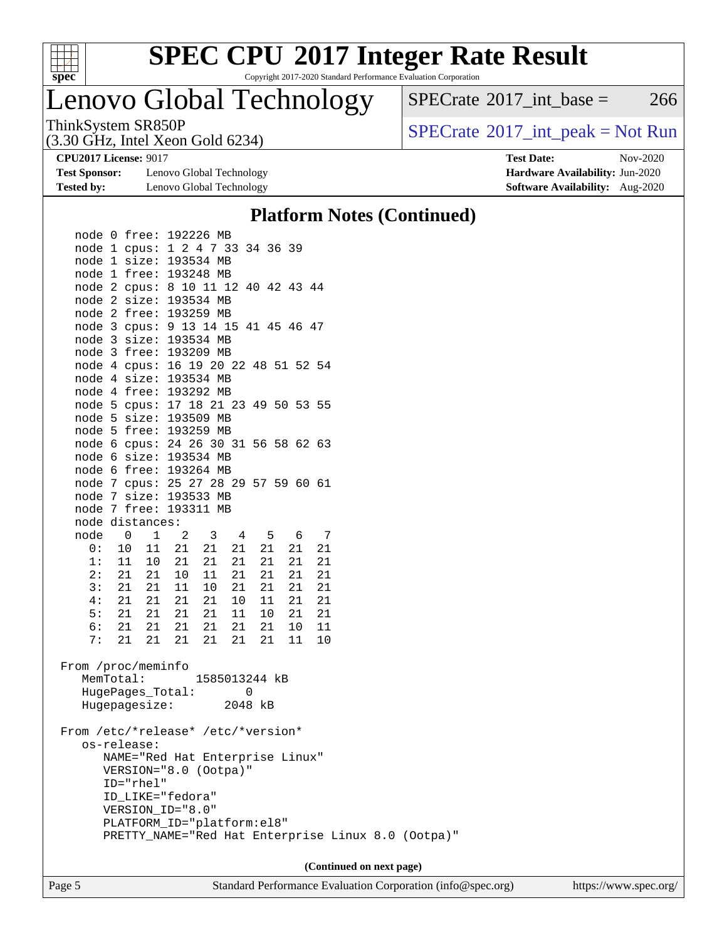

Copyright 2017-2020 Standard Performance Evaluation Corporation

# Lenovo Global Technology

(3.30 GHz, Intel Xeon Gold 6234)

ThinkSystem SR850P<br>  $(3.30 \text{ GHz} \text{ Intel } \text{Yoon} \text{ Gold } 6234)$  [SPECrate](http://www.spec.org/auto/cpu2017/Docs/result-fields.html#SPECrate2017intpeak)®[2017\\_int\\_peak = N](http://www.spec.org/auto/cpu2017/Docs/result-fields.html#SPECrate2017intpeak)ot Run

 $SPECTate$ <sup>®</sup>[2017\\_int\\_base =](http://www.spec.org/auto/cpu2017/Docs/result-fields.html#SPECrate2017intbase) 266

**[Test Sponsor:](http://www.spec.org/auto/cpu2017/Docs/result-fields.html#TestSponsor)** Lenovo Global Technology **[Hardware Availability:](http://www.spec.org/auto/cpu2017/Docs/result-fields.html#HardwareAvailability)** Jun-2020 **[Tested by:](http://www.spec.org/auto/cpu2017/Docs/result-fields.html#Testedby)** Lenovo Global Technology **[Software Availability:](http://www.spec.org/auto/cpu2017/Docs/result-fields.html#SoftwareAvailability)** Aug-2020

**[CPU2017 License:](http://www.spec.org/auto/cpu2017/Docs/result-fields.html#CPU2017License)** 9017 **[Test Date:](http://www.spec.org/auto/cpu2017/Docs/result-fields.html#TestDate)** Nov-2020

### **[Platform Notes \(Continued\)](http://www.spec.org/auto/cpu2017/Docs/result-fields.html#PlatformNotes)**

| node 0 free: 192226 MB                                                         |                                 |               |          |                                                    |  |
|--------------------------------------------------------------------------------|---------------------------------|---------------|----------|----------------------------------------------------|--|
| node 1 cpus: 1 2 4 7 33 34 36 39                                               |                                 |               |          |                                                    |  |
| node 1 size: 193534 MB                                                         |                                 |               |          |                                                    |  |
| node 1 free: 193248 MB                                                         |                                 |               |          |                                                    |  |
| node 2 cpus: 8 10 11 12 40 42 43 44                                            |                                 |               |          |                                                    |  |
| node 2 size: 193534 MB                                                         |                                 |               |          |                                                    |  |
| node 2 free: 193259 MB                                                         |                                 |               |          |                                                    |  |
| node 3 cpus: 9 13 14 15 41 45 46 47                                            |                                 |               |          |                                                    |  |
| node 3 size: 193534 MB                                                         |                                 |               |          |                                                    |  |
| node 3 free: 193209 MB                                                         |                                 |               |          |                                                    |  |
| node 4 cpus: 16 19 20 22 48 51 52 54                                           |                                 |               |          |                                                    |  |
| node 4 size: 193534 MB                                                         |                                 |               |          |                                                    |  |
| node 4 free: 193292 MB                                                         |                                 |               |          |                                                    |  |
| node 5 cpus: 17 18 21 23 49 50 53 55                                           |                                 |               |          |                                                    |  |
| node 5 size: 193509 MB                                                         |                                 |               |          |                                                    |  |
| node 5 free: 193259 MB                                                         |                                 |               |          |                                                    |  |
| node 6 cpus: 24 26 30 31 56 58 62 63                                           |                                 |               |          |                                                    |  |
| node 6 size: 193534 MB                                                         |                                 |               |          |                                                    |  |
| node 6 free: 193264 MB                                                         |                                 |               |          |                                                    |  |
| node 7 cpus: 25 27 28 29 57 59 60 61                                           |                                 |               |          |                                                    |  |
| node 7 size: 193533 MB                                                         |                                 |               |          |                                                    |  |
| node 7 free: 193311 MB                                                         |                                 |               |          |                                                    |  |
| node distances:                                                                |                                 |               |          |                                                    |  |
| $\mathbf{1}$<br>node 0                                                         | $2 \qquad 3 \qquad 4 \qquad 5$  |               | 6 7      |                                                    |  |
| 0: 10 11 21 21 21                                                              |                                 | 21            | 21<br>21 |                                                    |  |
| $\begin{array}{cccc} 11 & 10 & 21 & 21 \\ 21 & 21 & 10 & 11 \end{array}$<br>1: |                                 | 21<br>21      | 21<br>21 |                                                    |  |
| 2:                                                                             |                                 | 21<br>21      | 21<br>21 |                                                    |  |
| 3: 21 21 11                                                                    | 10                              | 21<br>21      | 21<br>21 |                                                    |  |
| 4: 21 21 21 21 21                                                              |                                 | 10<br>11      | 21<br>21 |                                                    |  |
| 5: 21 21                                                                       | 21  21                          | 11<br>$10\,$  | 21<br>21 |                                                    |  |
| 6: 21 21 21 21                                                                 |                                 | 21<br>21      | 10<br>11 |                                                    |  |
| 7:<br>21<br>21                                                                 | 21<br>21                        | 21<br>21      | 11<br>10 |                                                    |  |
| From /proc/meminfo                                                             |                                 |               |          |                                                    |  |
| MemTotal:                                                                      |                                 | 1585013244 kB |          |                                                    |  |
| HugePages_Total:                                                               |                                 | 0             |          |                                                    |  |
| Hugepagesize: 2048 kB                                                          |                                 |               |          |                                                    |  |
|                                                                                |                                 |               |          |                                                    |  |
| From /etc/*release* /etc/*version*                                             |                                 |               |          |                                                    |  |
| os-release:                                                                    |                                 |               |          |                                                    |  |
|                                                                                | NAME="Red Hat Enterprise Linux" |               |          |                                                    |  |
|                                                                                | VERSION="8.0 (Ootpa)"           |               |          |                                                    |  |
| ID="rhel"                                                                      |                                 |               |          |                                                    |  |
| ID_LIKE="fedora"                                                               |                                 |               |          |                                                    |  |
| VERSION_ID="8.0"                                                               |                                 |               |          |                                                    |  |
|                                                                                | PLATFORM_ID="platform:el8"      |               |          |                                                    |  |
|                                                                                |                                 |               |          | PRETTY_NAME="Red Hat Enterprise Linux 8.0 (Ootpa)" |  |
|                                                                                |                                 |               |          |                                                    |  |
|                                                                                |                                 |               |          | (Continued on next page)                           |  |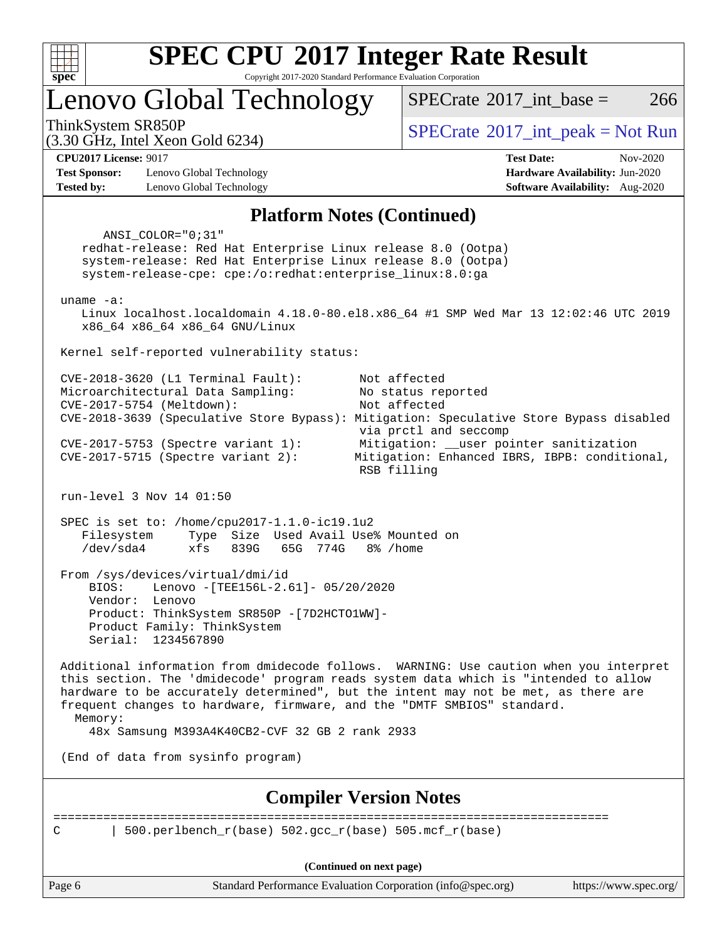

Copyright 2017-2020 Standard Performance Evaluation Corporation

Lenovo Global Technology

 $SPECTate$ <sup>®</sup>[2017\\_int\\_peak = N](http://www.spec.org/auto/cpu2017/Docs/result-fields.html#SPECrate2017intpeak)ot Run

 $SPECTate^{\circ}2017$  int base = 266

(3.30 GHz, Intel Xeon Gold 6234)

**[Tested by:](http://www.spec.org/auto/cpu2017/Docs/result-fields.html#Testedby)** Lenovo Global Technology **[Software Availability:](http://www.spec.org/auto/cpu2017/Docs/result-fields.html#SoftwareAvailability)** Aug-2020

**[CPU2017 License:](http://www.spec.org/auto/cpu2017/Docs/result-fields.html#CPU2017License)** 9017 **[Test Date:](http://www.spec.org/auto/cpu2017/Docs/result-fields.html#TestDate)** Nov-2020 **[Test Sponsor:](http://www.spec.org/auto/cpu2017/Docs/result-fields.html#TestSponsor)** Lenovo Global Technology **[Hardware Availability:](http://www.spec.org/auto/cpu2017/Docs/result-fields.html#HardwareAvailability)** Jun-2020

#### **[Platform Notes \(Continued\)](http://www.spec.org/auto/cpu2017/Docs/result-fields.html#PlatformNotes)**

Page 6 Standard Performance Evaluation Corporation [\(info@spec.org\)](mailto:info@spec.org) <https://www.spec.org/> ANSI\_COLOR="0;31" redhat-release: Red Hat Enterprise Linux release 8.0 (Ootpa) system-release: Red Hat Enterprise Linux release 8.0 (Ootpa) system-release-cpe: cpe:/o:redhat:enterprise\_linux:8.0:ga uname -a: Linux localhost.localdomain 4.18.0-80.el8.x86\_64 #1 SMP Wed Mar 13 12:02:46 UTC 2019 x86\_64 x86\_64 x86\_64 GNU/Linux Kernel self-reported vulnerability status: CVE-2018-3620 (L1 Terminal Fault): Not affected Microarchitectural Data Sampling: No status reported CVE-2017-5754 (Meltdown): Not affected CVE-2018-3639 (Speculative Store Bypass): Mitigation: Speculative Store Bypass disabled via prctl and seccomp CVE-2017-5753 (Spectre variant 1): Mitigation: \_\_user pointer sanitization CVE-2017-5715 (Spectre variant 2): Mitigation: Enhanced IBRS, IBPB: conditional, RSB filling run-level 3 Nov 14 01:50 SPEC is set to: /home/cpu2017-1.1.0-ic19.1u2 Filesystem Type Size Used Avail Use% Mounted on /dev/sda4 xfs 839G 65G 774G 8% /home From /sys/devices/virtual/dmi/id BIOS: Lenovo -[TEE156L-2.61]- 05/20/2020 Vendor: Lenovo Product: ThinkSystem SR850P -[7D2HCTO1WW]- Product Family: ThinkSystem Serial: 1234567890 Additional information from dmidecode follows. WARNING: Use caution when you interpret this section. The 'dmidecode' program reads system data which is "intended to allow hardware to be accurately determined", but the intent may not be met, as there are frequent changes to hardware, firmware, and the "DMTF SMBIOS" standard. Memory: 48x Samsung M393A4K40CB2-CVF 32 GB 2 rank 2933 (End of data from sysinfo program) **[Compiler Version Notes](http://www.spec.org/auto/cpu2017/Docs/result-fields.html#CompilerVersionNotes)** ============================================================================== C | 500.perlbench r(base) 502.gcc r(base) 505.mcf r(base) **(Continued on next page)**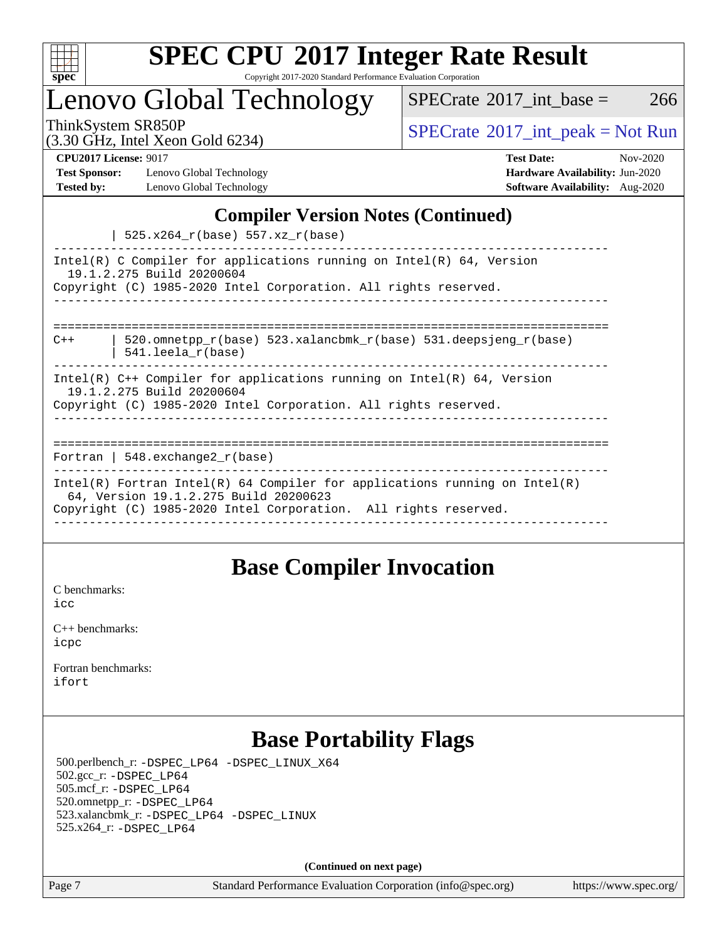

Copyright 2017-2020 Standard Performance Evaluation Corporation

Lenovo Global Technology

ThinkSystem SR850P<br>  $(3.30 \text{ GHz}_{\text{total}} \text{ Total} 5234)$  [SPECrate](http://www.spec.org/auto/cpu2017/Docs/result-fields.html#SPECrate2017intpeak)®[2017\\_int\\_peak = N](http://www.spec.org/auto/cpu2017/Docs/result-fields.html#SPECrate2017intpeak)ot Run  $SPECTate$ <sup>®</sup>[2017\\_int\\_base =](http://www.spec.org/auto/cpu2017/Docs/result-fields.html#SPECrate2017intbase) 266

(3.30 GHz, Intel Xeon Gold 6234)

**[Test Sponsor:](http://www.spec.org/auto/cpu2017/Docs/result-fields.html#TestSponsor)** Lenovo Global Technology **[Hardware Availability:](http://www.spec.org/auto/cpu2017/Docs/result-fields.html#HardwareAvailability)** Jun-2020 **[Tested by:](http://www.spec.org/auto/cpu2017/Docs/result-fields.html#Testedby)** Lenovo Global Technology **[Software Availability:](http://www.spec.org/auto/cpu2017/Docs/result-fields.html#SoftwareAvailability)** Aug-2020

**[CPU2017 License:](http://www.spec.org/auto/cpu2017/Docs/result-fields.html#CPU2017License)** 9017 **[Test Date:](http://www.spec.org/auto/cpu2017/Docs/result-fields.html#TestDate)** Nov-2020

### **[Compiler Version Notes \(Continued\)](http://www.spec.org/auto/cpu2017/Docs/result-fields.html#CompilerVersionNotes)**

| 525.x264\_r(base) 557.xz\_r(base)

| $52.11201 - 100000$                                                                                                                                                                    |  |  |  |  |  |  |
|----------------------------------------------------------------------------------------------------------------------------------------------------------------------------------------|--|--|--|--|--|--|
| Intel(R) C Compiler for applications running on Intel(R) $64$ , Version<br>19.1.2.275 Build 20200604<br>Copyright (C) 1985-2020 Intel Corporation. All rights reserved.                |  |  |  |  |  |  |
|                                                                                                                                                                                        |  |  |  |  |  |  |
| 520.omnetpp $r(base)$ 523.xalancbmk $r(base)$ 531.deepsjeng $r(base)$<br>$C++$<br>$541.$ leela $r(base)$                                                                               |  |  |  |  |  |  |
| Intel(R) $C++$ Compiler for applications running on Intel(R) 64, Version<br>19.1.2.275 Build 20200604<br>Copyright (C) 1985-2020 Intel Corporation. All rights reserved.               |  |  |  |  |  |  |
|                                                                                                                                                                                        |  |  |  |  |  |  |
| Fortran   548.exchange2 $r(base)$                                                                                                                                                      |  |  |  |  |  |  |
| Intel(R) Fortran Intel(R) 64 Compiler for applications running on Intel(R)<br>64, Version 19.1.2.275 Build 20200623<br>Copyright (C) 1985-2020 Intel Corporation. All rights reserved. |  |  |  |  |  |  |
|                                                                                                                                                                                        |  |  |  |  |  |  |

### **[Base Compiler Invocation](http://www.spec.org/auto/cpu2017/Docs/result-fields.html#BaseCompilerInvocation)**

[C benchmarks](http://www.spec.org/auto/cpu2017/Docs/result-fields.html#Cbenchmarks): [icc](http://www.spec.org/cpu2017/results/res2020q4/cpu2017-20201123-24451.flags.html#user_CCbase_intel_icc_66fc1ee009f7361af1fbd72ca7dcefbb700085f36577c54f309893dd4ec40d12360134090235512931783d35fd58c0460139e722d5067c5574d8eaf2b3e37e92)

[C++ benchmarks:](http://www.spec.org/auto/cpu2017/Docs/result-fields.html#CXXbenchmarks) [icpc](http://www.spec.org/cpu2017/results/res2020q4/cpu2017-20201123-24451.flags.html#user_CXXbase_intel_icpc_c510b6838c7f56d33e37e94d029a35b4a7bccf4766a728ee175e80a419847e808290a9b78be685c44ab727ea267ec2f070ec5dc83b407c0218cded6866a35d07)

[Fortran benchmarks](http://www.spec.org/auto/cpu2017/Docs/result-fields.html#Fortranbenchmarks): [ifort](http://www.spec.org/cpu2017/results/res2020q4/cpu2017-20201123-24451.flags.html#user_FCbase_intel_ifort_8111460550e3ca792625aed983ce982f94888b8b503583aa7ba2b8303487b4d8a21a13e7191a45c5fd58ff318f48f9492884d4413fa793fd88dd292cad7027ca)

### **[Base Portability Flags](http://www.spec.org/auto/cpu2017/Docs/result-fields.html#BasePortabilityFlags)**

 500.perlbench\_r: [-DSPEC\\_LP64](http://www.spec.org/cpu2017/results/res2020q4/cpu2017-20201123-24451.flags.html#b500.perlbench_r_basePORTABILITY_DSPEC_LP64) [-DSPEC\\_LINUX\\_X64](http://www.spec.org/cpu2017/results/res2020q4/cpu2017-20201123-24451.flags.html#b500.perlbench_r_baseCPORTABILITY_DSPEC_LINUX_X64) 502.gcc\_r: [-DSPEC\\_LP64](http://www.spec.org/cpu2017/results/res2020q4/cpu2017-20201123-24451.flags.html#suite_basePORTABILITY502_gcc_r_DSPEC_LP64) 505.mcf\_r: [-DSPEC\\_LP64](http://www.spec.org/cpu2017/results/res2020q4/cpu2017-20201123-24451.flags.html#suite_basePORTABILITY505_mcf_r_DSPEC_LP64) 520.omnetpp\_r: [-DSPEC\\_LP64](http://www.spec.org/cpu2017/results/res2020q4/cpu2017-20201123-24451.flags.html#suite_basePORTABILITY520_omnetpp_r_DSPEC_LP64) 523.xalancbmk\_r: [-DSPEC\\_LP64](http://www.spec.org/cpu2017/results/res2020q4/cpu2017-20201123-24451.flags.html#suite_basePORTABILITY523_xalancbmk_r_DSPEC_LP64) [-DSPEC\\_LINUX](http://www.spec.org/cpu2017/results/res2020q4/cpu2017-20201123-24451.flags.html#b523.xalancbmk_r_baseCXXPORTABILITY_DSPEC_LINUX) 525.x264\_r: [-DSPEC\\_LP64](http://www.spec.org/cpu2017/results/res2020q4/cpu2017-20201123-24451.flags.html#suite_basePORTABILITY525_x264_r_DSPEC_LP64)

**(Continued on next page)**

Page 7 Standard Performance Evaluation Corporation [\(info@spec.org\)](mailto:info@spec.org) <https://www.spec.org/>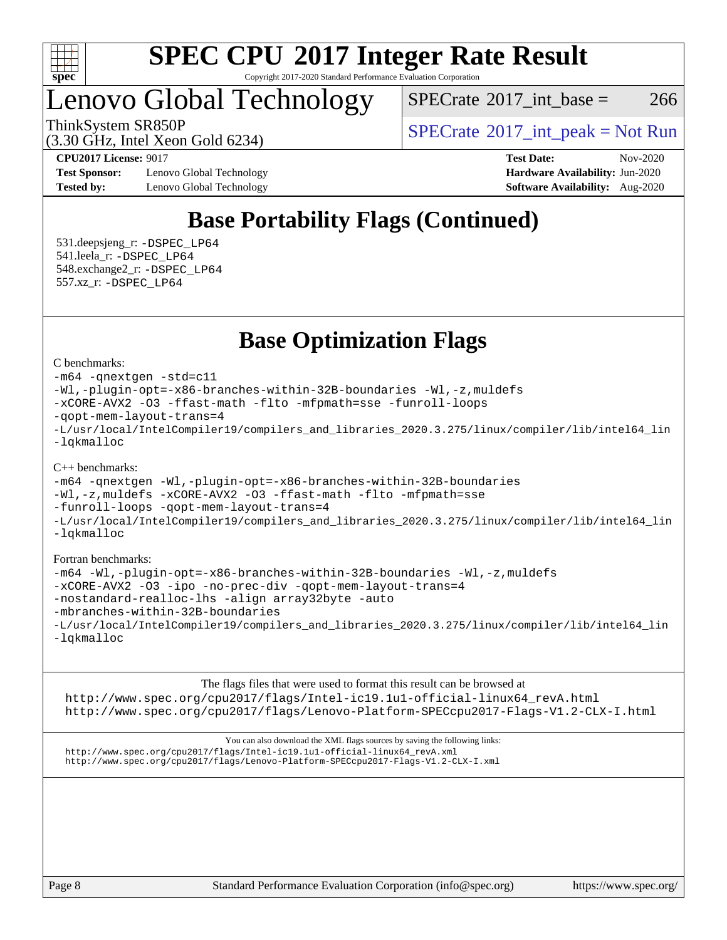

Copyright 2017-2020 Standard Performance Evaluation Corporation

### Lenovo Global Technology

 $SPECTate$ <sup>®</sup>[2017\\_int\\_base =](http://www.spec.org/auto/cpu2017/Docs/result-fields.html#SPECrate2017intbase) 266

(3.30 GHz, Intel Xeon Gold 6234)

ThinkSystem SR850P<br>  $SPECTI<sub>2</sub>120 GHz, Intel Y<sub>2</sub>2014 (2324)$ <br>  $SPECTI<sub>2</sub>120 GHz, Intel Y<sub>2</sub>2014 (2324)$ 

**[Test Sponsor:](http://www.spec.org/auto/cpu2017/Docs/result-fields.html#TestSponsor)** Lenovo Global Technology **[Hardware Availability:](http://www.spec.org/auto/cpu2017/Docs/result-fields.html#HardwareAvailability)** Jun-2020 **[Tested by:](http://www.spec.org/auto/cpu2017/Docs/result-fields.html#Testedby)** Lenovo Global Technology **[Software Availability:](http://www.spec.org/auto/cpu2017/Docs/result-fields.html#SoftwareAvailability)** Aug-2020

**[CPU2017 License:](http://www.spec.org/auto/cpu2017/Docs/result-fields.html#CPU2017License)** 9017 **[Test Date:](http://www.spec.org/auto/cpu2017/Docs/result-fields.html#TestDate)** Nov-2020

### **[Base Portability Flags \(Continued\)](http://www.spec.org/auto/cpu2017/Docs/result-fields.html#BasePortabilityFlags)**

 531.deepsjeng\_r: [-DSPEC\\_LP64](http://www.spec.org/cpu2017/results/res2020q4/cpu2017-20201123-24451.flags.html#suite_basePORTABILITY531_deepsjeng_r_DSPEC_LP64) 541.leela\_r: [-DSPEC\\_LP64](http://www.spec.org/cpu2017/results/res2020q4/cpu2017-20201123-24451.flags.html#suite_basePORTABILITY541_leela_r_DSPEC_LP64) 548.exchange2\_r: [-DSPEC\\_LP64](http://www.spec.org/cpu2017/results/res2020q4/cpu2017-20201123-24451.flags.html#suite_basePORTABILITY548_exchange2_r_DSPEC_LP64) 557.xz\_r: [-DSPEC\\_LP64](http://www.spec.org/cpu2017/results/res2020q4/cpu2017-20201123-24451.flags.html#suite_basePORTABILITY557_xz_r_DSPEC_LP64)

### **[Base Optimization Flags](http://www.spec.org/auto/cpu2017/Docs/result-fields.html#BaseOptimizationFlags)**

[C benchmarks](http://www.spec.org/auto/cpu2017/Docs/result-fields.html#Cbenchmarks):

[-m64](http://www.spec.org/cpu2017/results/res2020q4/cpu2017-20201123-24451.flags.html#user_CCbase_m64-icc) [-qnextgen](http://www.spec.org/cpu2017/results/res2020q4/cpu2017-20201123-24451.flags.html#user_CCbase_f-qnextgen) [-std=c11](http://www.spec.org/cpu2017/results/res2020q4/cpu2017-20201123-24451.flags.html#user_CCbase_std-icc-std_0e1c27790398a4642dfca32ffe6c27b5796f9c2d2676156f2e42c9c44eaad0c049b1cdb667a270c34d979996257aeb8fc440bfb01818dbc9357bd9d174cb8524) [-Wl,-plugin-opt=-x86-branches-within-32B-boundaries](http://www.spec.org/cpu2017/results/res2020q4/cpu2017-20201123-24451.flags.html#user_CCbase_f-x86-branches-within-32B-boundaries_0098b4e4317ae60947b7b728078a624952a08ac37a3c797dfb4ffeb399e0c61a9dd0f2f44ce917e9361fb9076ccb15e7824594512dd315205382d84209e912f3) [-Wl,-z,muldefs](http://www.spec.org/cpu2017/results/res2020q4/cpu2017-20201123-24451.flags.html#user_CCbase_link_force_multiple1_b4cbdb97b34bdee9ceefcfe54f4c8ea74255f0b02a4b23e853cdb0e18eb4525ac79b5a88067c842dd0ee6996c24547a27a4b99331201badda8798ef8a743f577) [-xCORE-AVX2](http://www.spec.org/cpu2017/results/res2020q4/cpu2017-20201123-24451.flags.html#user_CCbase_f-xCORE-AVX2) [-O3](http://www.spec.org/cpu2017/results/res2020q4/cpu2017-20201123-24451.flags.html#user_CCbase_f-O3) [-ffast-math](http://www.spec.org/cpu2017/results/res2020q4/cpu2017-20201123-24451.flags.html#user_CCbase_f-ffast-math) [-flto](http://www.spec.org/cpu2017/results/res2020q4/cpu2017-20201123-24451.flags.html#user_CCbase_f-flto) [-mfpmath=sse](http://www.spec.org/cpu2017/results/res2020q4/cpu2017-20201123-24451.flags.html#user_CCbase_f-mfpmath_70eb8fac26bde974f8ab713bc9086c5621c0b8d2f6c86f38af0bd7062540daf19db5f3a066d8c6684be05d84c9b6322eb3b5be6619d967835195b93d6c02afa1) [-funroll-loops](http://www.spec.org/cpu2017/results/res2020q4/cpu2017-20201123-24451.flags.html#user_CCbase_f-funroll-loops) [-qopt-mem-layout-trans=4](http://www.spec.org/cpu2017/results/res2020q4/cpu2017-20201123-24451.flags.html#user_CCbase_f-qopt-mem-layout-trans_fa39e755916c150a61361b7846f310bcdf6f04e385ef281cadf3647acec3f0ae266d1a1d22d972a7087a248fd4e6ca390a3634700869573d231a252c784941a8) [-L/usr/local/IntelCompiler19/compilers\\_and\\_libraries\\_2020.3.275/linux/compiler/lib/intel64\\_lin](http://www.spec.org/cpu2017/results/res2020q4/cpu2017-20201123-24451.flags.html#user_CCbase_linkpath_6eb3b1b8be403820338b5b82e7a1c217a861a8962ac718a6253be1483b50620487664a39a847caf560d84a6b8bab7cca33d9f414525a12ede1e9473db34a3d08) [-lqkmalloc](http://www.spec.org/cpu2017/results/res2020q4/cpu2017-20201123-24451.flags.html#user_CCbase_qkmalloc_link_lib_79a818439969f771c6bc311cfd333c00fc099dad35c030f5aab9dda831713d2015205805422f83de8875488a2991c0a156aaa600e1f9138f8fc37004abc96dc5)

#### [C++ benchmarks](http://www.spec.org/auto/cpu2017/Docs/result-fields.html#CXXbenchmarks):

```
-m64 -qnextgen -Wl,-plugin-opt=-x86-branches-within-32B-boundaries
-Wl,-z,muldefs -xCORE-AVX2 -O3 -ffast-math -flto -mfpmath=sse
-funroll-loops -qopt-mem-layout-trans=4
-L/usr/local/IntelCompiler19/compilers_and_libraries_2020.3.275/linux/compiler/lib/intel64_lin
-lqkmalloc
```
#### [Fortran benchmarks:](http://www.spec.org/auto/cpu2017/Docs/result-fields.html#Fortranbenchmarks)

```
-m64 -Wl,-plugin-opt=-x86-branches-within-32B-boundaries -Wl,-z,muldefs
-xCORE-AVX2 -O3 -ipo -no-prec-div -qopt-mem-layout-trans=4
-nostandard-realloc-lhs -align array32byte -auto
-mbranches-within-32B-boundaries
-L/usr/local/IntelCompiler19/compilers_and_libraries_2020.3.275/linux/compiler/lib/intel64_lin
-lqkmalloc
```
[The flags files that were used to format this result can be browsed at](tmsearch)

[http://www.spec.org/cpu2017/flags/Intel-ic19.1u1-official-linux64\\_revA.html](http://www.spec.org/cpu2017/flags/Intel-ic19.1u1-official-linux64_revA.html) <http://www.spec.org/cpu2017/flags/Lenovo-Platform-SPECcpu2017-Flags-V1.2-CLX-I.html>

[You can also download the XML flags sources by saving the following links:](tmsearch) [http://www.spec.org/cpu2017/flags/Intel-ic19.1u1-official-linux64\\_revA.xml](http://www.spec.org/cpu2017/flags/Intel-ic19.1u1-official-linux64_revA.xml) <http://www.spec.org/cpu2017/flags/Lenovo-Platform-SPECcpu2017-Flags-V1.2-CLX-I.xml>